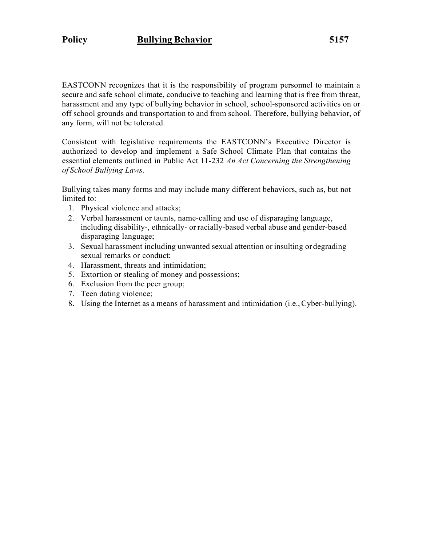EASTCONN recognizes that it is the responsibility of program personnel to maintain a secure and safe school climate, conducive to teaching and learning that is free from threat, harassment and any type of bullying behavior in school, school-sponsored activities on or off school grounds and transportation to and from school. Therefore, bullying behavior, of any form, will not be tolerated.

Consistent with legislative requirements the EASTCONN's Executive Director is authorized to develop and implement a Safe School Climate Plan that contains the essential elements outlined in Public Act 11-232 *An Act Concerning the Strengthening of School Bullying Laws.*

Bullying takes many forms and may include many different behaviors, such as, but not limited to:

- 1. Physical violence and attacks;
- 2. Verbal harassment or taunts, name-calling and use of disparaging language, including disability-, ethnically- or racially-based verbal abuse and gender-based disparaging language;
- 3. Sexual harassment including unwanted sexual attention or insulting or degrading sexual remarks or conduct;
- 4. Harassment, threats and intimidation;
- 5. Extortion or stealing of money and possessions;
- 6. Exclusion from the peer group;
- 7. Teen dating violence;
- 8. Using the Internet as a means of harassment and intimidation (i.e.,Cyber-bullying).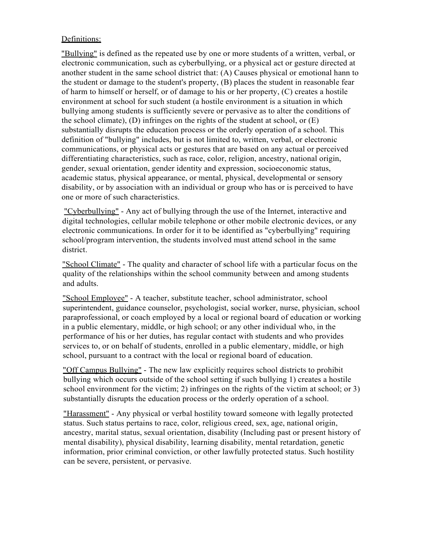## Definitions:

"Bullying" is defined as the repeated use by one or more students of a written, verbal, or electronic communication, such as cyberbullying, or a physical act or gesture directed at another student in the same school district that: (A) Causes physical or emotional hann to the student or damage to the student's property, (B) places the student in reasonable fear of harm to himself or herself, or of damage to his or her property, (C) creates a hostile environment at school for such student (a hostile environment is a situation in which bullying among students is sufficiently severe or pervasive as to alter the conditions of the school climate), (D) infringes on the rights of the student at school, or (E) substantially disrupts the education process or the orderly operation of a school. This definition of "bullying" includes, but is not limited to, written, verbal, or electronic communications, or physical acts or gestures that are based on any actual or perceived differentiating characteristics, such as race, color, religion, ancestry, national origin, gender, sexual orientation, gender identity and expression, socioeconomic status, academic status, physical appearance, or mental, physical, developmental or sensory disability, or by association with an individual or group who has or is perceived to have one or more of such characteristics.

"Cyberbullying" - Any act of bullying through the use of the Internet, interactive and digital technologies, cellular mobile telephone or other mobile electronic devices, or any electronic communications. In order for it to be identified as "cyberbullying" requiring school/program intervention, the students involved must attend school in the same district.

"School Climate" - The quality and character of school life with a particular focus on the quality of the relationships within the school community between and among students and adults.

"School Employee" - A teacher, substitute teacher, school administrator, school superintendent, guidance counselor, psychologist, social worker, nurse, physician, school paraprofessional, or coach employed by a local or regional board of education or working in a public elementary, middle, or high school; or any other individual who, in the performance of his or her duties, has regular contact with students and who provides services to, or on behalf of students, enrolled in a public elementary, middle, or high school, pursuant to a contract with the local or regional board of education.

"Off Campus Bullying" - The new law explicitly requires school districts to prohibit bullying which occurs outside of the school setting if such bullying 1) creates a hostile school environment for the victim; 2) infringes on the rights of the victim at school; or 3) substantially disrupts the education process or the orderly operation of a school.

"Harassment" - Any physical or verbal hostility toward someone with legally protected status. Such status pertains to race, color, religious creed, sex, age, national origin, ancestry, marital status, sexual orientation, disability (Including past or present history of mental disability), physical disability, learning disability, mental retardation, genetic information, prior criminal conviction, or other lawfully protected status. Such hostility can be severe, persistent, or pervasive.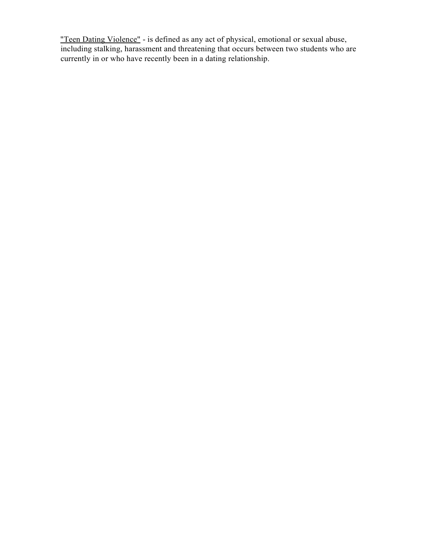"Teen Dating Violence" - is defined as any act of physical, emotional or sexual abuse, including stalking, harassment and threatening that occurs between two students who are currently in or who have recently been in a dating relationship.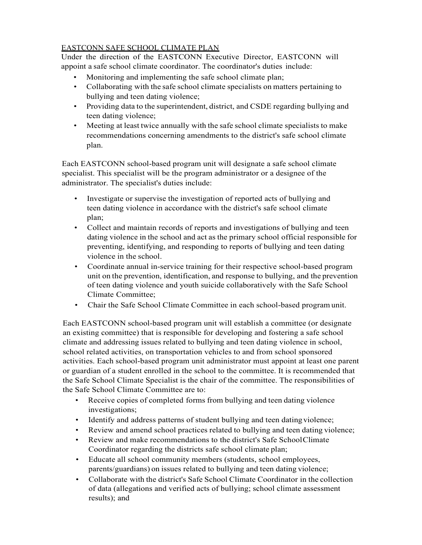# EASTCONN SAFE SCHOOL CLIMATE PLAN

Under the direction of the EASTCONN Executive Director, EASTCONN will appoint a safe school climate coordinator. The coordinator's duties include:

- Monitoring and implementing the safe school climate plan;
- Collaborating with the safe school climate specialists on matters pertaining to bullying and teen dating violence;
- Providing data to the superintendent, district, and CSDE regarding bullying and teen dating violence;
- Meeting at least twice annually with the safe school climate specialists to make recommendations concerning amendments to the district's safe school climate plan.

Each EASTCONN school-based program unit will designate a safe school climate specialist. This specialist will be the program administrator or a designee of the administrator. The specialist's duties include:

- Investigate or supervise the investigation of reported acts of bullying and teen dating violence in accordance with the district's safe school climate plan;
- Collect and maintain records of reports and investigations of bullying and teen dating violence in the school and act as the primary school official responsible for preventing, identifying, and responding to reports of bullying and teen dating violence in the school.
- Coordinate annual in-service training for their respective school-based program unit on the prevention, identification, and response to bullying, and the prevention of teen dating violence and youth suicide collaboratively with the Safe School Climate Committee;
- Chair the Safe School Climate Committee in each school-based program unit.

Each EASTCONN school-based program unit will establish a committee (or designate an existing committee) that is responsible for developing and fostering a safe school climate and addressing issues related to bullying and teen dating violence in school, school related activities, on transportation vehicles to and from school sponsored activities. Each school-based program unit administrator must appoint at least one parent or guardian of a student enrolled in the school to the committee. It is recommended that the Safe School Climate Specialist is the chair of the committee. The responsibilities of the Safe School Climate Committee are to:

- Receive copies of completed forms from bullying and teen dating violence investigations;
- Identify and address patterns of student bullying and teen datingviolence;
- Review and amend school practices related to bullying and teen dating violence;
- Review and make recommendations to the district's Safe SchoolClimate Coordinator regarding the districts safe school climate plan;
- Educate all school community members (students, school employees, parents/guardians) on issues related to bullying and teen dating violence;
- Collaborate with the district's Safe School Climate Coordinator in the collection of data (allegations and verified acts of bullying; school climate assessment results); and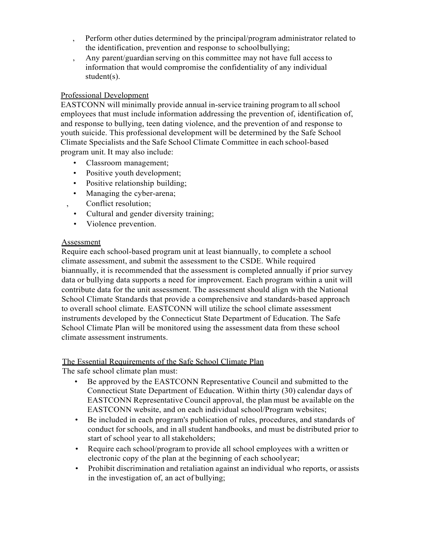- , Perform other duties determined by the principal/program administrator related to the identification, prevention and response to schoolbullying;
- , Any parent/guardian serving on this committee may not have full accessto information that would compromise the confidentiality of any individual student(s).

## Professional Development

EASTCONN will minimally provide annual in-service training program to all school employees that must include information addressing the prevention of, identification of, and response to bullying, teen dating violence, and the prevention of and response to youth suicide. This professional development will be determined by the Safe School Climate Specialists and the Safe School Climate Committee in each school-based program unit. It may also include:

- Classroom management;
- Positive youth development;
- Positive relationship building;
- Managing the cyber-arena; , Conflict resolution;
- Cultural and gender diversity training;
- Violence prevention.

### **Assessment**

Require each school-based program unit at least biannually, to complete a school climate assessment, and submit the assessment to the CSDE. While required biannually, it is recommended that the assessment is completed annually if prior survey data or bullying data supports a need for improvement. Each program within a unit will contribute data for the unit assessment. The assessment should align with the National School Climate Standards that provide a comprehensive and standards-based approach to overall school climate. EASTCONN will utilize the school climate assessment instruments developed by the Connecticut State Department of Education. The Safe School Climate Plan will be monitored using the assessment data from these school climate assessment instruments.

#### The Essential Requirements of the Safe School Climate Plan

The safe school climate plan must:

- Be approved by the EASTCONN Representative Council and submitted to the Connecticut State Department of Education. Within thirty (30) calendar days of EASTCONN Representative Council approval, the plan must be available on the EASTCONN website, and on each individual school/Program websites;
- Be included in each program's publication of rules, procedures, and standards of conduct for schools, and in all student handbooks, and must be distributed prior to start of school year to all stakeholders;
- Require each school/program to provide all school employees with a written or electronic copy of the plan at the beginning of each schoolyear;
- Prohibit discrimination and retaliation against an individual who reports, or assists in the investigation of, an act of bullying;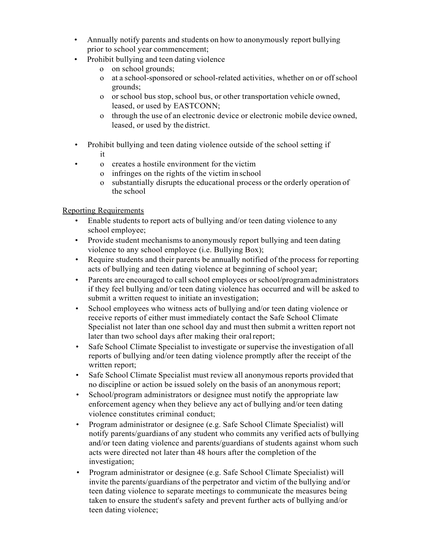- Annually notify parents and students on how to anonymously report bullying prior to school year commencement;
- Prohibit bullying and teen dating violence
	- o on school grounds;
	- o at a school-sponsored or school-related activities, whether on or offschool grounds;
	- o or school bus stop, school bus, or other transportation vehicle owned, leased, or used by EASTCONN;
	- o through the use of an electronic device or electronic mobile device owned, leased, or used by the district.
- Prohibit bullying and teen dating violence outside of the school setting if it
	- o creates a hostile environment for the victim
		- o infringes on the rights of the victim in school
		- o substantially disrupts the educational process or the orderly operation of the school

# Reporting Requirements

- Enable students to report acts of bullying and/or teen dating violence to any school employee;
- Provide student mechanisms to anonymously report bullying and teen dating violence to any school employee (i.e. Bullying Box);
- Require students and their parents be annually notified of the process for reporting acts of bullying and teen dating violence at beginning of school year;
- Parents are encouraged to call school employees or school/program administrators if they feel bullying and/or teen dating violence has occurred and will be asked to submit a written request to initiate an investigation;
- School employees who witness acts of bullying and/or teen dating violence or receive reports of either must immediately contact the Safe School Climate Specialist not later than one school day and must then submit a written report not later than two school days after making their oral report;
- Safe School Climate Specialist to investigate or supervise the investigation of all reports of bullying and/or teen dating violence promptly after the receipt of the written report;
- Safe School Climate Specialist must review all anonymous reports provided that no discipline or action be issued solely on the basis of an anonymous report;
- School/program administrators or designee must notify the appropriate law enforcement agency when they believe any act of bullying and/or teen dating violence constitutes criminal conduct;
- Program administrator or designee (e.g. Safe School Climate Specialist) will notify parents/guardians of any student who commits any verified acts of bullying and/or teen dating violence and parents/guardians of students against whom such acts were directed not later than 48 hours after the completion of the investigation;
- Program administrator or designee (e.g. Safe School Climate Specialist) will invite the parents/guardians of the perpetrator and victim of the bullying and/or teen dating violence to separate meetings to communicate the measures being taken to ensure the student's safety and prevent further acts of bullying and/or teen dating violence;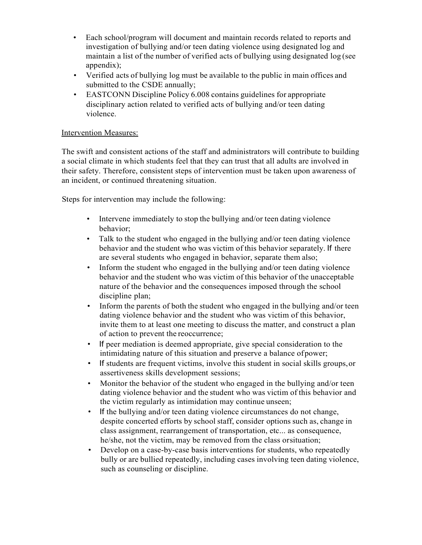- Each school/program will document and maintain records related to reports and investigation of bullying and/or teen dating violence using designated log and maintain a list of the number of verified acts of bullying using designated log (see appendix);
- Verified acts of bullying log must be available to the public in main offices and submitted to the CSDE annually;
- EASTCONN Discipline Policy 6.008 contains guidelines for appropriate disciplinary action related to verified acts of bullying and/or teen dating violence.

#### Intervention Measures:

The swift and consistent actions of the staff and administrators will contribute to building a social climate in which students feel that they can trust that all adults are involved in their safety. Therefore, consistent steps of intervention must be taken upon awareness of an incident, or continued threatening situation.

Steps for intervention may include the following:

- Intervene immediately to stop the bullying and/or teen dating violence behavior;
- Talk to the student who engaged in the bullying and/or teen dating violence behavior and the student who was victim of this behavior separately. If there are several students who engaged in behavior, separate them also;
- Inform the student who engaged in the bullying and/or teen dating violence behavior and the student who was victim of this behavior of the unacceptable nature of the behavior and the consequences imposed through the school discipline plan;
- Inform the parents of both the student who engaged in the bullying and/or teen dating violence behavior and the student who was victim of this behavior, invite them to at least one meeting to discuss the matter, and construct a plan of action to prevent the reoccurrence;
- If peer mediation is deemed appropriate, give special consideration to the intimidating nature of this situation and preserve a balance ofpower;
- If students are frequent victims, involve this student in social skills groups,or assertiveness skills development sessions;
- Monitor the behavior of the student who engaged in the bullying and/or teen dating violence behavior and the student who was victim of this behavior and the victim regularly as intimidation may continue unseen;
- If the bullying and/or teen dating violence circumstances do not change, despite concerted efforts by school staff, consider options such as, change in class assignment, rearrangement of transportation, etc... as consequence, he/she, not the victim, may be removed from the class orsituation;
- Develop on a case-by-case basis interventions for students, who repeatedly bully or are bullied repeatedly, including cases involving teen dating violence, such as counseling or discipline.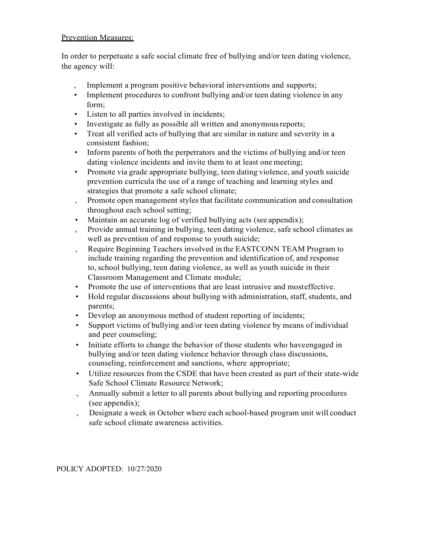#### Prevention Measures:

In order to perpetuate a safe social climate free of bullying and/or teen dating violence, the agency will:

- Implement a program positive behavioral interventions and supports;
- Implement procedures to confront bullying and/or teen dating violence in any form;
- Listen to all parties involved in incidents;
- Investigate as fully as possible all written and anonymous reports;
- Treat all verified acts of bullying that are similar in nature and severity in a consistent fashion;
- Inform parents of both the perpetrators and the victims of bullying and/or teen dating violence incidents and invite them to at least one meeting;
- Promote via grade appropriate bullying, teen dating violence, and youth suicide prevention curricula the use of a range of teaching and learning styles and strategies that promote a safe school climate;
- , Promote open management stylesthat facilitate communication and consultation throughout each school setting;
- Maintain an accurate log of verified bullying acts (see appendix);
- , Provide annual training in bullying, teen dating violence, safe school climates as well as prevention of and response to youth suicide;
- , Require Beginning Teachers involved in the EASTCONN TEAM Program to include training regarding the prevention and identification of, and response to, school bullying, teen dating violence, as well as youth suicide in their Classroom Management and Climate module;
- Promote the use of interventions that are least intrusive and mosteffective.
- Hold regular discussions about bullying with administration, staff, students, and parents;
- Develop an anonymous method of student reporting of incidents;
- Support victims of bullying and/or teen dating violence by means of individual and peer counseling;
- Initiate efforts to change the behavior of those students who haveengaged in bullying and/or teen dating violence behavior through class discussions, counseling, reinforcement and sanctions, where appropriate;
- Utilize resources from the CSDE that have been created as part of their state-wide Safe School Climate Resource Network;
- , Annually submit a letter to all parents about bullying and reporting procedures (see appendix);
- , Designate a week in October where each school-based program unit will conduct safe school climate awareness activities.

#### POLICY ADOPTED: 10/27/2020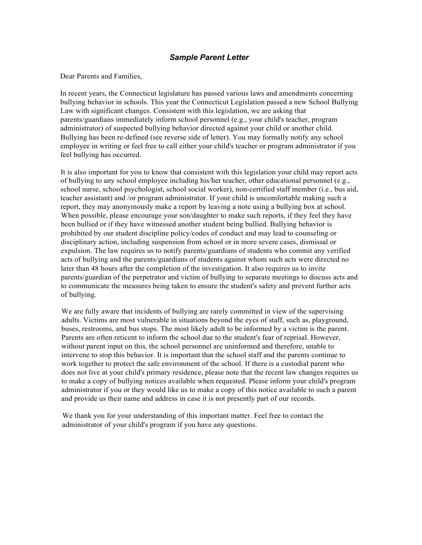#### *Sample Parent Letter*

Dear Parents and Families,

In recent years, the Connecticut legislature has passed various laws and amendments concerning bullying behavior in schools. This year the Connecticut Legislation passed a new School Bullying Law with significant changes. Consistent with this legislation, we are asking that parents/guardians immediately inform school personnel (e.g., your child's teacher, program administrator) of suspected bullying behavior directed against your child or another child. Bullying has been re-defined (see reverse side of letter). You may formally notify any school employee in writing or feel free to call either your child's teacher or program administrator if you feel bullying has occurred.

It is also important for you to know that consistent with this legislation your child may report acts of bullying to any school employee including his/her teacher, other educational personnel (e.g., school nurse, school psychologist, school social worker), non-certified staff member (i.e., bus aid, teacher assistant) and /or program administrator. If your child is uncomfortable making such a report, they may anonymously make a report by leaving a note using a bullying box at school. When possible, please encourage your son/daughter to make such reports, if they feel they have been bullied or if they have witnessed another student being bullied. Bullying behavior is prohibited by our student discipline policy/codes of conduct and may lead to counseling or disciplinary action, including suspension from school or in more severe cases, dismissal or expulsion. The law requires us to notify parents/guardians of students who commit any verified acts of bullying and the parents/guardians of students against whom such acts were directed no later than 48 hours after the completion of the investigation. It also requires us to invite parents/guardian of the perpetrator and victim of bullying to separate meetings to discuss acts and to communicate the measures being taken to ensure the student's safety and prevent further acts of bullying.

We are fully aware that incidents of bullying are rarely committed in view of the supervising adults. Victims are most vulnerable in situations beyond the eyes of staff, such as, playground, buses, restrooms, and bus stops. The most likely adult to be informed by a victim is the parent. Parents are often reticent to inform the school due to the student's fear of reprisal. However, without parent input on this, the school personnel are uninformed and therefore, unable to intervene to stop this behavior. It is important that the school staff and the parents continue to work together to protect the safe environment of the school. If there is a custodial parent who does not live at your child's primary residence, please note that the recent law changes requires us to make a copy of bullying notices available when requested. Please inform your child's program administrator if you or they would like us to make a copy of this notice available to such a parent and provide us their name and address in case it is not presently part of our records.

We thank you for your understanding of this important matter. Feel free to contact the administrator of your child's program if you have any questions.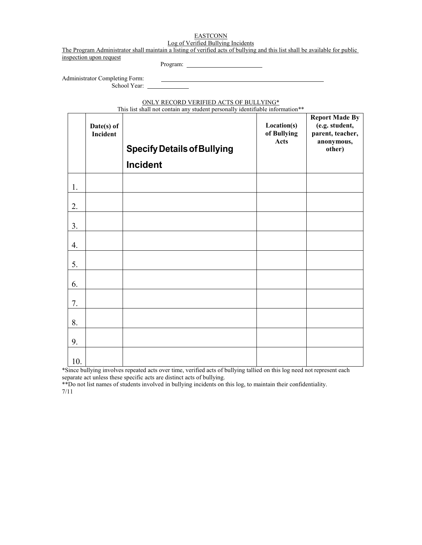#### **EASTCONN** Log of Verified Bullying Incidents

The Program Administrator shall maintain a listing of verified acts of bullying and this list shall be available for public inspection upon request

Program:

Administrator Completing Form: School Year: \_\_

ONLY RECORD VERIFIED ACTS OF BULLYING\*

This list shall not contain any student personally identifiable information\*\*

|     | Date(s) of<br>Incident | <b>Specify Details of Bullying</b> | Location(s)<br>of Bullying<br>Acts | <b>Report Made By</b><br>(e.g. student,<br>parent, teacher,<br>anonymous,<br>other) |
|-----|------------------------|------------------------------------|------------------------------------|-------------------------------------------------------------------------------------|
|     |                        | <b>Incident</b>                    |                                    |                                                                                     |
| 1.  |                        |                                    |                                    |                                                                                     |
| 2.  |                        |                                    |                                    |                                                                                     |
| 3.  |                        |                                    |                                    |                                                                                     |
| 4.  |                        |                                    |                                    |                                                                                     |
| 5.  |                        |                                    |                                    |                                                                                     |
| 6.  |                        |                                    |                                    |                                                                                     |
| 7.  |                        |                                    |                                    |                                                                                     |
| 8.  |                        |                                    |                                    |                                                                                     |
| 9.  |                        |                                    |                                    |                                                                                     |
| 10. |                        |                                    |                                    |                                                                                     |

\*Since bullying involves repeated acts over time, verified acts of bullying tallied on this log need not represent each separate act unless these specific acts are distinct acts of bullying.

\*\*Do not list names of students involved in bullying incidents on this log, to maintain their confidentiality. 7/11